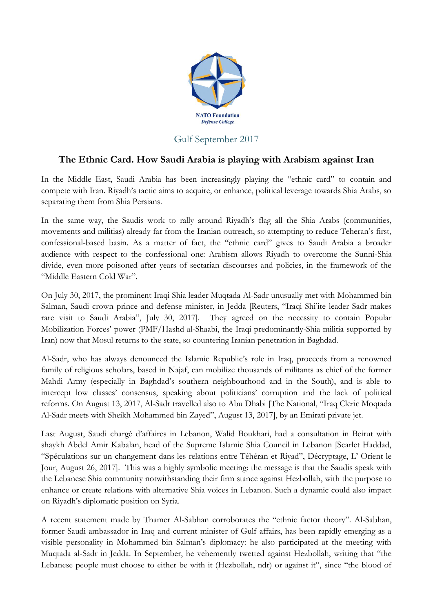

## Gulf September 2017

## **The Ethnic Card. How Saudi Arabia is playing with Arabism against Iran**

In the Middle East, Saudi Arabia has been increasingly playing the "ethnic card" to contain and compete with Iran. Riyadh's tactic aims to acquire, or enhance, political leverage towards Shia Arabs, so separating them from Shia Persians.

In the same way, the Saudis work to rally around Riyadh's flag all the Shia Arabs (communities, movements and militias) already far from the Iranian outreach, so attempting to reduce Teheran's first, confessional-based basin. As a matter of fact, the "ethnic card" gives to Saudi Arabia a broader audience with respect to the confessional one: Arabism allows Riyadh to overcome the Sunni-Shia divide, even more poisoned after years of sectarian discourses and policies, in the framework of the "Middle Eastern Cold War".

On July 30, 2017, the prominent Iraqi Shia leader Muqtada Al-Sadr unusually met with Mohammed bin Salman, Saudi crown prince and defense minister, in Jedda [Reuters, "Iraqi Shi'ite leader Sadr makes rare visit to Saudi Arabia", July 30, 2017]. They agreed on the necessity to contain Popular Mobilization Forces' power (PMF/Hashd al-Shaabi, the Iraqi predominantly-Shia militia supported by Iran) now that Mosul returns to the state, so countering Iranian penetration in Baghdad.

Al-Sadr, who has always denounced the Islamic Republic's role in Iraq, proceeds from a renowned family of religious scholars, based in Najaf, can mobilize thousands of militants as chief of the former Mahdi Army (especially in Baghdad's southern neighbourhood and in the South), and is able to intercept low classes' consensus, speaking about politicians' corruption and the lack of political reforms. On August 13, 2017, Al-Sadr travelled also to Abu Dhabi [The National, "Iraq Cleric Moqtada Al-Sadr meets with Sheikh Mohammed bin Zayed", August 13, 2017], by an Emirati private jet.

Last August, Saudi chargé d'affaires in Lebanon, Walid Boukhari, had a consultation in Beirut with shaykh Abdel Amir Kabalan, head of the Supreme Islamic Shia Council in Lebanon [Scarlet Haddad, "Spéculations sur un changement dans les relations entre Téhéran et Riyad", Décryptage, L' Orient le Jour, August 26, 2017]. This was a highly symbolic meeting: the message is that the Saudis speak with the Lebanese Shia community notwithstanding their firm stance against Hezbollah, with the purpose to enhance or create relations with alternative Shia voices in Lebanon. Such a dynamic could also impact on Riyadh's diplomatic position on Syria.

A recent statement made by Thamer Al-Sabhan corroborates the "ethnic factor theory". Al-Sabhan, former Saudi ambassador in Iraq and current minister of Gulf affairs, has been rapidly emerging as a visible personality in Mohammed bin Salman's diplomacy: he also participated at the meeting with Muqtada al-Sadr in Jedda. In September, he vehemently twetted against Hezbollah, writing that "the Lebanese people must choose to either be with it (Hezbollah, ndr) or against it", since "the blood of